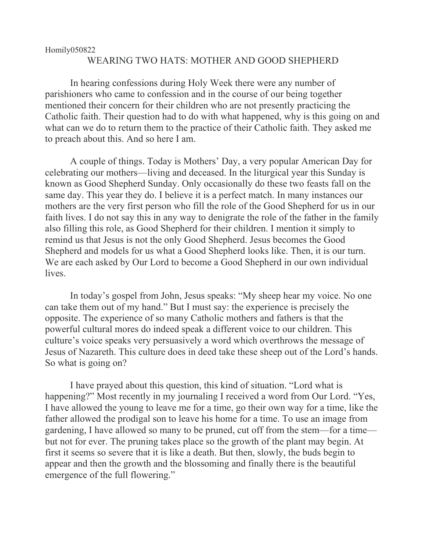## Homily050822 WEARING TWO HATS: MOTHER AND GOOD SHEPHERD

In hearing confessions during Holy Week there were any number of parishioners who came to confession and in the course of our being together mentioned their concern for their children who are not presently practicing the Catholic faith. Their question had to do with what happened, why is this going on and what can we do to return them to the practice of their Catholic faith. They asked me to preach about this. And so here I am.

A couple of things. Today is Mothers' Day, a very popular American Day for celebrating our mothers—living and deceased. In the liturgical year this Sunday is known as Good Shepherd Sunday. Only occasionally do these two feasts fall on the same day. This year they do. I believe it is a perfect match. In many instances our mothers are the very first person who fill the role of the Good Shepherd for us in our faith lives. I do not say this in any way to denigrate the role of the father in the family also filling this role, as Good Shepherd for their children. I mention it simply to remind us that Jesus is not the only Good Shepherd. Jesus becomes the Good Shepherd and models for us what a Good Shepherd looks like. Then, it is our turn. We are each asked by Our Lord to become a Good Shepherd in our own individual lives.

In today's gospel from John, Jesus speaks: "My sheep hear my voice. No one can take them out of my hand." But I must say: the experience is precisely the opposite. The experience of so many Catholic mothers and fathers is that the powerful cultural mores do indeed speak a different voice to our children. This culture's voice speaks very persuasively a word which overthrows the message of Jesus of Nazareth. This culture does in deed take these sheep out of the Lord's hands. So what is going on?

I have prayed about this question, this kind of situation. "Lord what is happening?" Most recently in my journaling I received a word from Our Lord. "Yes, I have allowed the young to leave me for a time, go their own way for a time, like the father allowed the prodigal son to leave his home for a time. To use an image from gardening, I have allowed so many to be pruned, cut off from the stem—for a time but not for ever. The pruning takes place so the growth of the plant may begin. At first it seems so severe that it is like a death. But then, slowly, the buds begin to appear and then the growth and the blossoming and finally there is the beautiful emergence of the full flowering."